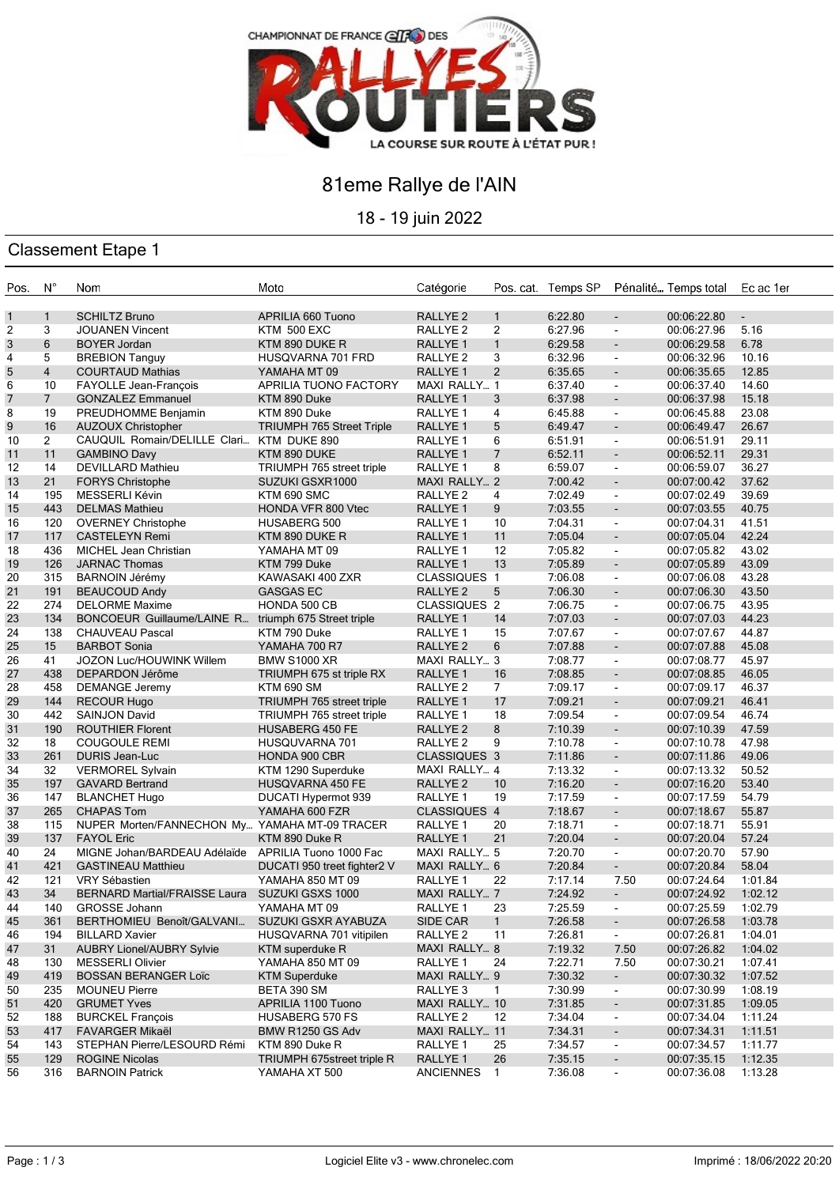

## 81eme Rallye de l'AIN

18 - 19 juin 2022

## Classement Etape 1

| Pos.         | $N^{\circ}$    | Nom                                                  | Moto                              | Catégorie           |                 | Pos. cat. Temps SP Pénalité Temps total |                          |             | Ec ac 1er      |
|--------------|----------------|------------------------------------------------------|-----------------------------------|---------------------|-----------------|-----------------------------------------|--------------------------|-------------|----------------|
| $\mathbf{1}$ | $\mathbf{1}$   | <b>SCHILTZ Bruno</b>                                 | APRILIA 660 Tuono                 | RALLYE <sub>2</sub> | $\mathbf{1}$    | 6:22.80                                 | $\sim$                   | 00:06:22.80 | $\blacksquare$ |
| 2            | 3              | <b>JOUANEN Vincent</b>                               | KTM 500 EXC                       | RALLYE <sub>2</sub> | $\overline{2}$  | 6:27.96                                 | $\blacksquare$           | 00:06:27.96 | 5.16           |
| 3            | 6              | <b>BOYER Jordan</b>                                  | KTM 890 DUKE R                    | RALLYE 1            | 1               | 6:29.58                                 | $\overline{\phantom{a}}$ | 00:06:29.58 | 6.78           |
| 4            | 5              | <b>BREBION Tanguy</b>                                | HUSQVARNA 701 FRD                 | RALLYE 2            | 3               | 6:32.96                                 | $\sim$                   | 00:06:32.96 | 10.16          |
| 5            | $\overline{4}$ | <b>COURTAUD Mathias</b>                              | YAMAHA MT 09                      | RALLYE <sub>1</sub> | 2               | 6:35.65                                 | $\sim$                   | 00:06:35.65 | 12.85          |
| 6            | 10             | <b>FAYOLLE Jean-François</b>                         | APRILIA TUONO FACTORY             | MAXI RALLY 1        |                 | 6:37.40                                 | $\blacksquare$           | 00:06:37.40 | 14.60          |
| 7            | $\overline{7}$ | <b>GONZALEZ Emmanuel</b>                             | KTM 890 Duke                      | RALLYE 1            | 3               | 6:37.98                                 | $\blacksquare$           | 00:06:37.98 | 15.18          |
| 8            | 19             | PREUDHOMME Benjamin                                  | KTM 890 Duke                      | RALLYE 1            | $\overline{4}$  | 6:45.88                                 | $\sim$                   | 00:06:45.88 | 23.08          |
| 9            | 16             | <b>AUZOUX Christopher</b>                            | <b>TRIUMPH 765 Street Triple</b>  | RALLYE 1            | 5               | 6:49.47                                 | $\blacksquare$           | 00:06:49.47 | 26.67          |
| 10           | $\overline{2}$ | CAUQUIL Romain/DELILLE Clari KTM DUKE 890            |                                   | RALLYE 1            | 6               | 6:51.91                                 | $\blacksquare$           | 00:06:51.91 | 29.11          |
| 11           | 11             | <b>GAMBINO Davy</b>                                  | KTM 890 DUKE                      | RALLYE 1            | 7               | 6:52.11                                 | $\overline{\phantom{a}}$ | 00:06:52.11 | 29.31          |
| 12           | 14             | <b>DEVILLARD Mathieu</b>                             | TRIUMPH 765 street triple         | RALLYE 1            | 8               | 6:59.07                                 | $\sim$                   | 00:06:59.07 | 36.27          |
| 13           | 21             | <b>FORYS Christophe</b>                              | SUZUKI GSXR1000                   | MAXI RALLY 2        |                 | 7:00.42                                 | $\sim$                   | 00:07:00.42 | 37.62          |
| 14           | 195            | MESSERLI Kévin                                       | KTM 690 SMC                       | RALLYE <sub>2</sub> | 4               | 7:02.49                                 | $\overline{\phantom{a}}$ | 00:07:02.49 | 39.69          |
| 15           | 443            | <b>DELMAS Mathieu</b>                                | <b>HONDA VFR 800 Vtec</b>         | RALLYE 1            | 9               | 7:03.55                                 | $\blacksquare$           | 00:07:03.55 | 40.75          |
| 16           | 120            | <b>OVERNEY Christophe</b>                            | <b>HUSABERG 500</b>               | RALLYE 1            | 10              | 7:04.31                                 | $\sim$                   | 00:07:04.31 | 41.51          |
| 17           | 117            | <b>CASTELEYN Remi</b>                                | KTM 890 DUKE R                    | RALLYE 1            | 11              | 7:05.04                                 | $\sim$                   | 00:07:05.04 | 42.24          |
| 18           | 436            | <b>MICHEL Jean Christian</b>                         | YAMAHA MT 09                      | RALLYE 1            | 12              | 7:05.82                                 | $\blacksquare$           | 00:07:05.82 | 43.02          |
| 19           | 126            | <b>JARNAC Thomas</b>                                 | KTM 799 Duke                      | RALLYE <sub>1</sub> | 13              | 7:05.89                                 | $\overline{\phantom{a}}$ | 00:07:05.89 | 43.09          |
| 20           | 315            | <b>BARNOIN Jérémy</b>                                | KAWASAKI 400 ZXR                  | <b>CLASSIQUES 1</b> |                 | 7:06.08                                 | $\blacksquare$           | 00:07:06.08 | 43.28          |
| 21           | 191            | <b>BEAUCOUD Andy</b>                                 | <b>GASGAS EC</b>                  | RALLYE <sub>2</sub> | 5               | 7:06.30                                 | $\sim$                   | 00:07:06.30 | 43.50          |
| 22           | 274            | <b>DELORME Maxime</b>                                | HONDA 500 CB                      | <b>CLASSIQUES 2</b> |                 | 7:06.75                                 | $\blacksquare$           | 00:07:06.75 | 43.95          |
| 23           | 134            | BONCOEUR Guillaume/LAINE R triumph 675 Street triple |                                   | <b>RALLYE 1</b>     | 14              | 7:07.03                                 | $\blacksquare$           | 00:07:07.03 | 44.23          |
| 24           | 138            | <b>CHAUVEAU Pascal</b>                               | KTM 790 Duke                      | RALLYE 1            | 15              | 7:07.67                                 | $\sim$                   | 00:07:07.67 | 44.87          |
| 25           | 15             | <b>BARBOT Sonia</b>                                  | YAMAHA 700 R7                     | RALLYE 2            | 6               | 7:07.88                                 | $\sim$                   | 00:07:07.88 | 45.08          |
| 26           | 41             | JOZON Luc/HOUWINK Willem                             | <b>BMW S1000 XR</b>               | MAXI RALLY 3        |                 | 7:08.77                                 | $\sim$                   | 00:07:08.77 | 45.97          |
| 27           | 438            | DEPARDON Jérôme                                      | TRIUMPH 675 st triple RX          | RALLYE <sub>1</sub> | 16              | 7:08.85                                 | $\overline{\phantom{a}}$ | 00:07:08.85 | 46.05          |
| 28           | 458            | <b>DEMANGE Jeremy</b>                                | <b>KTM 690 SM</b>                 | RALLYE <sub>2</sub> | $7\overline{ }$ | 7:09.17                                 | $\blacksquare$           | 00:07:09.17 | 46.37          |
| 29           | 144            | <b>RECOUR Hugo</b>                                   | TRIUMPH 765 street triple         | RALLYE 1            | 17              | 7:09.21                                 | $\sim$                   | 00:07:09.21 | 46.41          |
| 30           | 442            | <b>SAINJON David</b>                                 | TRIUMPH 765 street triple         | RALLYE 1            | 18              | 7:09.54                                 | $\blacksquare$           | 00:07:09.54 | 46.74          |
| 31           | 190            | <b>ROUTHIER Florent</b>                              | <b>HUSABERG 450 FE</b>            | RALLYE <sub>2</sub> | 8               | 7:10.39                                 | $\blacksquare$           | 00:07:10.39 | 47.59          |
| 32           | 18             | <b>COUGOULE REMI</b>                                 | HUSQUVARNA 701                    | RALLYE <sub>2</sub> | 9               | 7:10.78                                 | $\sim$                   | 00:07:10.78 | 47.98          |
| 33           | 261            | <b>DURIS Jean-Luc</b>                                | HONDA 900 CBR                     | CLASSIQUES 3        |                 | 7:11.86                                 | $\blacksquare$           | 00:07:11.86 | 49.06          |
| 34           | 32             | <b>VERMOREL Sylvain</b>                              | KTM 1290 Superduke                | MAXI RALLY 4        |                 | 7:13.32                                 | $\blacksquare$           | 00:07:13.32 | 50.52          |
| 35           | 197            | <b>GAVARD Bertrand</b>                               | <b>HUSQVARNA 450 FE</b>           | RALLYE <sub>2</sub> | 10              | 7:16.20                                 | $\overline{\phantom{a}}$ | 00:07:16.20 | 53.40          |
| 36           | 147            | <b>BLANCHET Hugo</b>                                 | DUCATI Hypermot 939               | RALLYE 1            | 19              | 7:17.59                                 | $\blacksquare$           | 00:07:17.59 | 54.79          |
| 37           | 265            | <b>CHAPAS Tom</b>                                    | YAMAHA 600 FZR                    | CLASSIQUES 4        |                 | 7:18.67                                 | $\sim$                   | 00:07:18.67 | 55.87          |
| 38           | 115            | NUPER Morten/FANNECHON My YAMAHA MT-09 TRACER        |                                   | RALLYE 1            | 20              | 7:18.71                                 | $\sim$                   | 00:07:18.71 | 55.91          |
| 39           | 137            | <b>FAYOL Eric</b>                                    | KTM 890 Duke R                    | RALLYE 1            | 21              | 7:20.04                                 | $\blacksquare$           | 00:07:20.04 | 57.24          |
| 40           | 24             | MIGNE Johan/BARDEAU Adélaïde APRILIA Tuono 1000 Fac  |                                   | MAXI RALLY 5        |                 | 7:20.70                                 | $\sim$                   | 00:07:20.70 | 57.90          |
| 41           | 421            | <b>GASTINEAU Matthieu</b>                            | DUCATI 950 treet fighter2 V       | MAXI RALLY 6        |                 | 7:20.84                                 | $\blacksquare$           | 00:07:20.84 | 58.04          |
| 42           | 121            | VRY Sébastien                                        | YAMAHA 850 MT 09                  | RALLYE <sub>1</sub> | 22              | 7:17.14                                 | 7.50                     | 00:07:24.64 | 1:01.84        |
| 43           | 34             | BERNARD Martial/FRAISSE Laura SUZUKI GSXS 1000       |                                   | <b>MAXI RALLY 7</b> |                 | 7:24.92                                 | $\blacksquare$           | 00:07:24.92 | 1:02.12        |
| 44           | 140            | GROSSE Johann                                        | YAMAHA MT 09                      | RALLYE 1            | 23              | 7:25.59                                 | $\blacksquare$           | 00:07:25.59 | 1:02.79        |
| 45           | 361            | BERTHOMIEU Benoît/GALVANI                            | SUZUKI GSXR AYABUZA               | SIDE CAR            | $\mathbf{1}$    | 7:26.58                                 | $\blacksquare$           | 00:07:26.58 | 1:03.78        |
| 46           | 194            | <b>BILLARD Xavier</b>                                | HUSQVARNA 701 vitipilen           | RALLYE 2            | 11              | 7:26.81                                 | $\blacksquare$           | 00:07:26.81 | 1:04.01        |
| 47           | 31             | <b>AUBRY Lionel/AUBRY Sylvie</b>                     | <b>KTM</b> superduke R            | MAXI RALLY 8        |                 | 7:19.32                                 | 7.50                     | 00:07:26.82 | 1:04.02        |
| 48           | 130            | <b>MESSERLI Olivier</b>                              | YAMAHA 850 MT 09                  | RALLYE 1            | 24              | 7:22.71                                 | 7.50                     | 00:07:30.21 | 1:07.41        |
| 49           | 419            | <b>BOSSAN BERANGER Loïc</b>                          | <b>KTM Superduke</b>              | MAXI RALLY 9        |                 | 7:30.32                                 | $\sim$                   | 00:07:30.32 | 1:07.52        |
| 50           | 235            | <b>MOUNEU Pierre</b>                                 | BETA 390 SM                       | RALLYE 3            | $\mathbf{1}$    | 7:30.99                                 | $\blacksquare$           | 00:07:30.99 | 1:08.19        |
| 51           | 420            | <b>GRUMET Yves</b>                                   | APRILIA 1100 Tuono                | MAXI RALLY 10       |                 | 7:31.85                                 | $\overline{\phantom{a}}$ | 00:07:31.85 | 1:09.05        |
| 52           | 188            | <b>BURCKEL François</b>                              | <b>HUSABERG 570 FS</b>            | RALLYE <sub>2</sub> | 12              | 7:34.04                                 | $\blacksquare$           | 00:07:34.04 | 1:11.24        |
| 53           | 417            | <b>FAVARGER Mikaël</b>                               | BMW R1250 GS Adv                  | MAXI RALLY 11       |                 | 7:34.31                                 | $\blacksquare$           | 00:07:34.31 | 1:11.51        |
| 54           | 143            | STEPHAN Pierre/LESOURD Rémi                          | KTM 890 Duke R                    | RALLYE 1            | 25              | 7:34.57                                 | $\blacksquare$           | 00:07:34.57 | 1:11.77        |
| 55           | 129            | <b>ROGINE Nicolas</b>                                | <b>TRIUMPH 675street triple R</b> | RALLYE 1            | 26              | 7:35.15                                 | $\overline{\phantom{a}}$ | 00:07:35.15 | 1:12.35        |
| 56           | 316            | <b>BARNOIN Patrick</b>                               | YAMAHA XT 500                     | <b>ANCIENNES</b>    | $\mathbf{1}$    | 7:36.08                                 | $\blacksquare$           | 00:07:36.08 | 1:13.28        |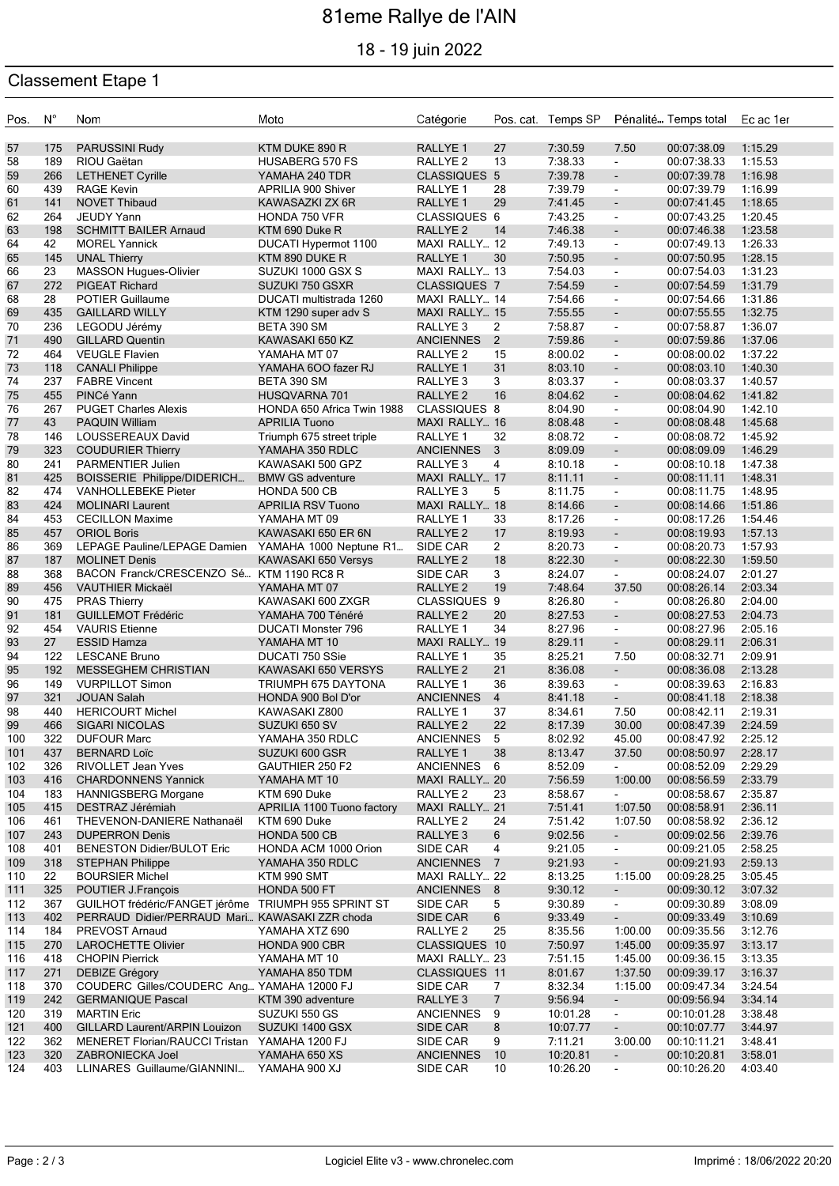# 81eme Rallye de l'AIN

18 - 19 juin 2022

### Classement Etape 1

| Pos.       | $N^{\circ}$ | Nom                                                  | Moto                                  | Catégorie                                  |                | Pos. cat. Temps SP |                                               | Pénalité Temps total       | Ec ac 1er          |
|------------|-------------|------------------------------------------------------|---------------------------------------|--------------------------------------------|----------------|--------------------|-----------------------------------------------|----------------------------|--------------------|
| 57         | 175         | <b>PARUSSINI Rudy</b>                                | KTM DUKE 890 R                        | <b>RALLYE 1</b>                            | 27             | 7:30.59            | 7.50                                          | 00:07:38.09                | 1:15.29            |
| 58         | 189         | RIOU Gaëtan                                          | <b>HUSABERG 570 FS</b>                | RALLYE <sub>2</sub>                        | 13             | 7:38.33            | $\sim$                                        | 00:07:38.33                | 1:15.53            |
| 59         | 266         | <b>LETHENET Cyrille</b>                              | YAMAHA 240 TDR                        | <b>CLASSIQUES 5</b>                        |                | 7:39.78            | $\overline{\phantom{a}}$                      | 00:07:39.78                | 1:16.98            |
| 60         | 439         | <b>RAGE Kevin</b>                                    | APRILIA 900 Shiver                    | RALLYE <sub>1</sub>                        | 28             | 7:39.79            | $\blacksquare$                                | 00:07:39.79                | 1:16.99            |
| 61         | 141         | <b>NOVET Thibaud</b>                                 | KAWASAZKI ZX 6R                       | RALLYE <sub>1</sub>                        | 29             | 7:41.45            | $\mathcal{L}_{\mathcal{A}}$                   | 00:07:41.45                | 1:18.65            |
| 62         | 264         | <b>JEUDY Yann</b>                                    | HONDA 750 VFR                         | CLASSIQUES 6                               |                | 7:43.25            | $\blacksquare$                                | 00:07:43.25                | 1:20.45            |
| 63         | 198         | <b>SCHMITT BAILER Arnaud</b>                         | KTM 690 Duke R                        | RALLYE <sub>2</sub>                        | 14             | 7:46.38            | $\blacksquare$                                | 00:07:46.38                | 1:23.58            |
| 64         | 42          | <b>MOREL Yannick</b>                                 | DUCATI Hypermot 1100                  | MAXI RALLY 12                              |                | 7:49.13            | $\blacksquare$                                | 00:07:49.13                | 1:26.33            |
| 65         | 145         | <b>UNAL Thierry</b>                                  | KTM 890 DUKE R                        | <b>RALLYE 1</b>                            | 30             | 7:50.95            | $\overline{\phantom{a}}$                      | 00:07:50.95                | 1:28.15            |
| 66         | 23          | MASSON Hugues-Olivier                                | SUZUKI 1000 GSX S                     | MAXI RALLY 13                              |                | 7:54.03            | $\blacksquare$                                | 00:07:54.03                | 1:31.23            |
| 67         | 272         | <b>PIGEAT Richard</b>                                | SUZUKI 750 GSXR                       | CLASSIQUES 7                               |                | 7:54.59            | $\overline{\phantom{a}}$                      | 00:07:54.59                | 1:31.79            |
| 68         | 28<br>435   | <b>POTIER Guillaume</b>                              | DUCATI multistrada 1260               | MAXI RALLY 14                              |                | 7:54.66            | $\blacksquare$<br>$\mathcal{L}_{\mathcal{A}}$ | 00:07:54.66                | 1:31.86<br>1:32.75 |
| 69<br>70   | 236         | <b>GAILLARD WILLY</b><br>LEGODU Jérémy               | KTM 1290 super adv S<br>BETA 390 SM   | MAXI RALLY 15<br>RALLYE <sub>3</sub>       | 2              | 7:55.55<br>7:58.87 | $\blacksquare$                                | 00:07:55.55<br>00:07:58.87 | 1:36.07            |
| 71         | 490         | <b>GILLARD Quentin</b>                               | KAWASAKI 650 KZ                       | <b>ANCIENNES</b>                           | $\overline{2}$ | 7:59.86            | ۰                                             | 00:07:59.86                | 1:37.06            |
| 72         | 464         | <b>VEUGLE Flavien</b>                                | YAMAHA MT 07                          | RALLYE <sub>2</sub>                        | 15             | 8:00.02            | $\blacksquare$                                | 00:08:00.02                | 1:37.22            |
| 73         | 118         | <b>CANALI Philippe</b>                               | YAMAHA 6OO fazer RJ                   | RALLYE 1                                   | 31             | 8:03.10            | $\blacksquare$                                | 00:08:03.10                | 1:40.30            |
| 74         | 237         | <b>FABRE Vincent</b>                                 | BETA 390 SM                           | RALLYE <sub>3</sub>                        | 3              | 8:03.37            | $\blacksquare$                                | 00:08:03.37                | 1:40.57            |
| 75         | 455         | PINCé Yann                                           | HUSQVARNA 701                         | <b>RALLYE 2</b>                            | 16             | 8:04.62            | $\overline{\phantom{a}}$                      | 00:08:04.62                | 1:41.82            |
| 76         | 267         | <b>PUGET Charles Alexis</b>                          | HONDA 650 Africa Twin 1988            | <b>CLASSIQUES 8</b>                        |                | 8:04.90            | $\blacksquare$                                | 00:08:04.90                | 1:42.10            |
| 77         | 43          | <b>PAQUIN William</b>                                | <b>APRILIA Tuono</b>                  | MAXI RALLY 16                              |                | 8:08.48            | $\mathcal{L}_{\mathcal{A}}$                   | 00:08:08.48                | 1:45.68            |
| 78         | 146         | LOUSSEREAUX David                                    | Triumph 675 street triple             | RALLYE <sub>1</sub>                        | 32             | 8:08.72            | $\blacksquare$                                | 00:08:08.72                | 1:45.92            |
| 79         | 323         | <b>COUDURIER Thierry</b>                             | YAMAHA 350 RDLC                       | <b>ANCIENNES</b>                           | 3              | 8:09.09            | $\blacksquare$                                | 00:08:09.09                | 1:46.29            |
| 80         | 241         | PARMENTIER Julien                                    | KAWASAKI 500 GPZ                      | RALLYE <sub>3</sub>                        | 4              | 8:10.18            | $\blacksquare$                                | 00:08:10.18                | 1:47.38            |
| 81         | 425         | BOISSERIE Philippe/DIDERICH                          | <b>BMW GS adventure</b>               | MAXI RALLY 17                              |                | 8:11.11            | $\overline{\phantom{a}}$                      | 00:08:11.11                | 1:48.31            |
| 82         | 474         | <b>VANHOLLEBEKE Pieter</b>                           | HONDA 500 CB                          | RALLYE <sub>3</sub>                        | 5              | 8:11.75            | $\blacksquare$                                | 00:08:11.75                | 1:48.95            |
| 83<br>84   | 424<br>453  | <b>MOLINARI Laurent</b><br><b>CECILLON Maxime</b>    | <b>APRILIA RSV Tuono</b>              | MAXI RALLY 18                              | 33             | 8:14.66<br>8:17.26 | $\blacksquare$                                | 00:08:14.66<br>00:08:17.26 | 1:51.86<br>1:54.46 |
| 85         | 457         | <b>ORIOL Boris</b>                                   | YAMAHA MT 09<br>KAWASAKI 650 ER 6N    | RALLYE <sub>1</sub><br>RALLYE <sub>2</sub> | 17             | 8:19.93            | $\blacksquare$<br>$\blacksquare$              | 00:08:19.93                | 1:57.13            |
| 86         | 369         | LEPAGE Pauline/LEPAGE Damien                         | YAMAHA 1000 Neptune R1                | SIDE CAR                                   | $\overline{2}$ | 8:20.73            | $\blacksquare$                                | 00:08:20.73                | 1:57.93            |
| 87         | 187         | <b>MOLINET Denis</b>                                 | KAWASAKI 650 Versys                   | RALLYE <sub>2</sub>                        | 18             | 8:22.30            | $\blacksquare$                                | 00:08:22.30                | 1:59.50            |
| 88         | 368         | BACON Franck/CRESCENZO Sé KTM 1190 RC8 R             |                                       | SIDE CAR                                   | 3              | 8:24.07            | $\blacksquare$                                | 00:08:24.07                | 2:01.27            |
| 89         | 456         | <b>VAUTHIER Mickaël</b>                              | YAMAHA MT 07                          | RALLYE <sub>2</sub>                        | 19             | 7:48.64            | 37.50                                         | 00:08:26.14                | 2:03.34            |
| 90         | 475         | <b>PRAS Thierry</b>                                  | KAWASAKI 600 ZXGR                     | CLASSIQUES 9                               |                | 8:26.80            | $\blacksquare$                                | 00:08:26.80                | 2:04.00            |
| 91         | 181         | <b>GUILLEMOT Frédéric</b>                            | YAMAHA 700 Ténéré                     | RALLYE <sub>2</sub>                        | 20             | 8:27.53            | $\blacksquare$                                | 00:08:27.53                | 2:04.73            |
| 92         | 454         | <b>VAURIS</b> Etienne                                | <b>DUCATI Monster 796</b>             | RALLYE <sub>1</sub>                        | 34             | 8:27.96            | $\blacksquare$                                | 00:08:27.96                | 2:05.16            |
| 93         | 27          | <b>ESSID Hamza</b>                                   | YAMAHA MT 10                          | MAXI RALLY 19                              |                | 8:29.11            | $\blacksquare$                                | 00:08:29.11                | 2:06.31            |
| 94         | 122         | <b>LESCANE Bruno</b>                                 | DUCATI 750 SSie                       | RALLYE <sub>1</sub>                        | 35             | 8:25.21            | 7.50                                          | 00:08:32.71                | 2:09.91            |
| 95         | 192         | <b>MESSEGHEM CHRISTIAN</b>                           | KAWASAKI 650 VERSYS                   | RALLYE <sub>2</sub>                        | 21             | 8:36.08            | $\blacksquare$                                | 00:08:36.08                | 2:13.28            |
| 96         | 149         | <b>VURPILLOT Simon</b>                               | TRIUMPH 675 DAYTONA                   | RALLYE 1                                   | 36             | 8:39.63            | $\blacksquare$                                | 00:08:39.63                | 2:16.83            |
| 97         | 321         | <b>JOUAN Salah</b>                                   | HONDA 900 Bol D'or                    | <b>ANCIENNES</b>                           | $\overline{4}$ | 8:41.18            | $\overline{\phantom{a}}$                      | 00:08:41.18                | 2:18.38            |
| 98<br>99   | 440<br>466  | <b>HERICOURT Michel</b><br><b>SIGARI NICOLAS</b>     | KAWASAKI Z800<br>SUZUKI 650 SV        | RALLYE 1<br>RALLYE <sub>2</sub>            | 37<br>22       | 8:34.61<br>8:17.39 | 7.50<br>30.00                                 | 00:08:42.11<br>00:08:47.39 | 2:19.31<br>2:24.59 |
| 100        | 322         | <b>DUFOUR Marc</b>                                   | YAMAHA 350 RDLC                       | ANCIENNES                                  | 5              | 8:02.92            | 45.00                                         | 00:08:47.92                | 2:25.12            |
| 101        | 437         | <b>BERNARD Loïc</b>                                  | SUZUKI 600 GSR                        | RALLYE <sub>1</sub>                        | 38             | 8:13.47            | 37.50                                         | 00:08:50.97                | 2:28.17            |
| 102        | 326         | <b>RIVOLLET Jean Yves</b>                            | GAUTHIER 250 F2                       | ANCIENNES 6                                |                | 8:52.09            | $\blacksquare$                                | 00:08:52.09                | 2:29.29            |
| 103        | 416         | <b>CHARDONNENS Yannick</b>                           | YAMAHA MT 10                          | MAXI RALLY 20                              |                | 7:56.59            | 1:00.00                                       | 00:08:56.59                | 2:33.79            |
| 104        | 183         | <b>HANNIGSBERG Morgane</b>                           | KTM 690 Duke                          | RALLYE <sub>2</sub>                        | 23             | 8:58.67            | $\sim$                                        | 00:08:58.67                | 2:35.87            |
| 105        | 415         | DESTRAZ Jérémiah                                     | APRILIA 1100 Tuono factory            | MAXI RALLY 21                              |                | 7:51.41            | 1:07.50                                       | 00:08:58.91                | 2:36.11            |
| 106        | 461         | THEVENON-DANIERE Nathanaël                           | KTM 690 Duke                          | RALLYE <sub>2</sub>                        | 24             | 7:51.42            | 1:07.50                                       | 00:08:58.92                | 2:36.12            |
| 107        | 243         | <b>DUPERRON Denis</b>                                | HONDA 500 CB                          | RALLYE 3                                   | 6              | 9:02.56            | $\sim$                                        | 00:09:02.56                | 2:39.76            |
| 108        | 401         | <b>BENESTON Didier/BULOT Eric</b>                    | HONDA ACM 1000 Orion                  | SIDE CAR                                   | 4              | 9:21.05            | $\blacksquare$                                | 00:09:21.05                | 2:58.25            |
| 109        | 318         | <b>STEPHAN Philippe</b>                              | YAMAHA 350 RDLC                       | <b>ANCIENNES</b>                           | $\overline{7}$ | 9:21.93            | $\overline{\phantom{a}}$                      | 00:09:21.93                | 2:59.13            |
| 110        | 22          | <b>BOURSIER Michel</b>                               | KTM 990 SMT                           | MAXI RALLY 22                              |                | 8:13.25            | 1:15.00                                       | 00:09:28.25                | 3:05.45            |
| 111<br>112 | 325<br>367  | POUTIER J.François<br>GUILHOT frédéric/FANGET jérôme | HONDA 500 FT<br>TRIUMPH 955 SPRINT ST | ANCIENNES 8<br>SIDE CAR                    | 5              | 9:30.12<br>9:30.89 | $\sim$<br>$\blacksquare$                      | 00:09:30.12<br>00:09:30.89 | 3:07.32<br>3:08.09 |
| 113        | 402         | PERRAUD Didier/PERRAUD Mari KAWASAKI ZZR choda       |                                       | SIDE CAR                                   | 6              | 9:33.49            | $\overline{\phantom{a}}$                      | 00:09:33.49                | 3:10.69            |
| 114        | 184         | PREVOST Arnaud                                       | YAMAHA XTZ 690                        | RALLYE <sub>2</sub>                        | 25             | 8:35.56            | 1:00.00                                       | 00:09:35.56                | 3:12.76            |
| 115        | 270         | <b>LAROCHETTE Olivier</b>                            | HONDA 900 CBR                         | CLASSIQUES 10                              |                | 7:50.97            | 1:45.00                                       | 00:09:35.97                | 3:13.17            |
| 116        | 418         | <b>CHOPIN Pierrick</b>                               | YAMAHA MT 10                          | MAXI RALLY 23                              |                | 7:51.15            | 1:45.00                                       | 00:09:36.15                | 3:13.35            |
| 117        | 271         | DEBIZE Grégory                                       | YAMAHA 850 TDM                        | CLASSIQUES 11                              |                | 8:01.67            | 1:37.50                                       | 00:09:39.17                | 3:16.37            |
| 118        | 370         | COUDERC Gilles/COUDERC Ang YAMAHA 12000 FJ           |                                       | SIDE CAR                                   | 7              | 8:32.34            | 1:15.00                                       | 00:09:47.34                | 3:24.54            |
| 119        | 242         | <b>GERMANIQUE Pascal</b>                             | KTM 390 adventure                     | RALLYE <sub>3</sub>                        | 7              | 9:56.94            | $\sim$                                        | 00:09:56.94                | 3:34.14            |
| 120        | 319         | <b>MARTIN Eric</b>                                   | SUZUKI 550 GS                         | ANCIENNES                                  | 9              | 10:01.28           | $\blacksquare$                                | 00:10:01.28                | 3:38.48            |
| $121$      | 400         | GILLARD Laurent/ARPIN Louizon                        | SUZUKI 1400 GSX                       | <b>SIDE CAR</b>                            | 8              | 10:07.77           | $\overline{\phantom{0}}$                      | 00:10:07.77                | 3:44.97            |
| 122        | 362         | MENERET Florian/RAUCCI Tristan                       | YAMAHA 1200 FJ                        | SIDE CAR                                   | 9              | 7:11.21            | 3:00.00                                       | 00:10:11.21                | 3:48.41            |
| 123        | 320         | ZABRONIECKA Joel                                     | YAMAHA 650 XS                         | <b>ANCIENNES</b>                           | 10             | 10:20.81           | $\overline{\phantom{a}}$                      | 00:10:20.81                | 3:58.01            |
| 124        | 403         | LLINARES Guillaume/GIANNINI                          | <b>YAMAHA 900 XJ</b>                  | SIDE CAR                                   | 10             | 10:26.20           | $\blacksquare$                                | 00:10:26.20                | 4:03.40            |